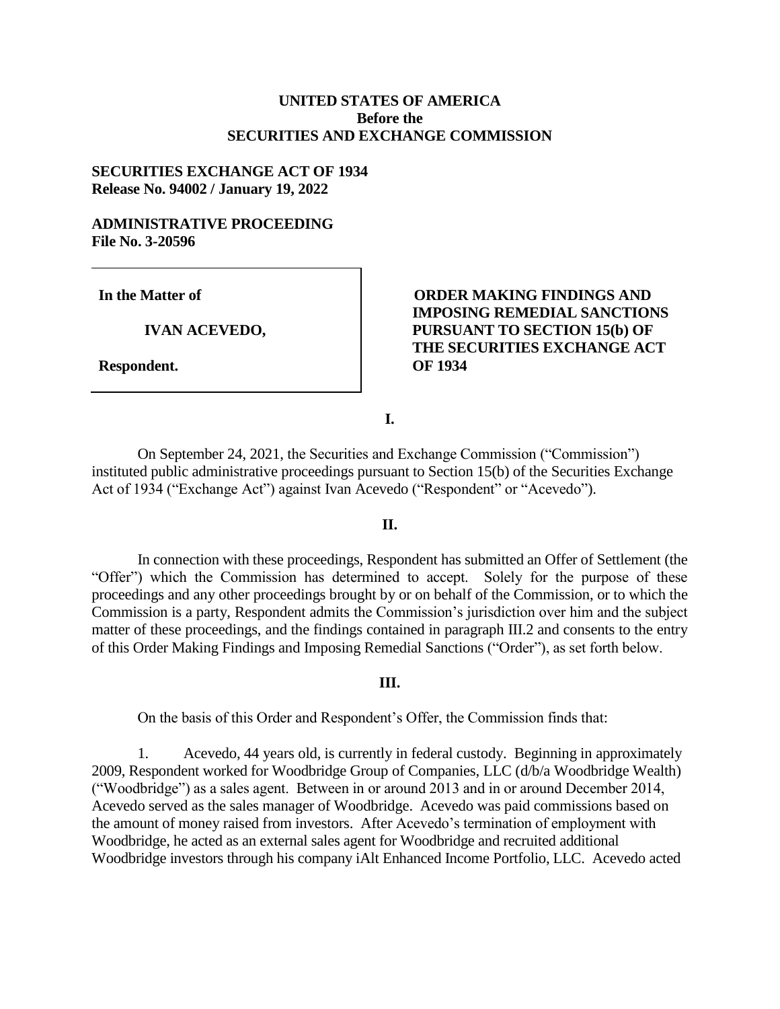## **UNITED STATES OF AMERICA Before the SECURITIES AND EXCHANGE COMMISSION**

## **SECURITIES EXCHANGE ACT OF 1934 Release No. 94002 / January 19, 2022**

## **ADMINISTRATIVE PROCEEDING File No. 3-20596**

**In the Matter of**

**IVAN ACEVEDO,**

**Respondent.**

# **ORDER MAKING FINDINGS AND IMPOSING REMEDIAL SANCTIONS PURSUANT TO SECTION 15(b) OF THE SECURITIES EXCHANGE ACT OF 1934**

**I.**

On September 24, 2021, the Securities and Exchange Commission ("Commission") instituted public administrative proceedings pursuant to Section 15(b) of the Securities Exchange Act of 1934 ("Exchange Act") against Ivan Acevedo ("Respondent" or "Acevedo").

### **II.**

In connection with these proceedings, Respondent has submitted an Offer of Settlement (the "Offer") which the Commission has determined to accept. Solely for the purpose of these proceedings and any other proceedings brought by or on behalf of the Commission, or to which the Commission is a party, Respondent admits the Commission's jurisdiction over him and the subject matter of these proceedings, and the findings contained in paragraph III.2 and consents to the entry of this Order Making Findings and Imposing Remedial Sanctions ("Order"), as set forth below.

### **III.**

On the basis of this Order and Respondent's Offer, the Commission finds that:

1. Acevedo, 44 years old, is currently in federal custody. Beginning in approximately 2009, Respondent worked for Woodbridge Group of Companies, LLC (d/b/a Woodbridge Wealth) ("Woodbridge") as a sales agent. Between in or around 2013 and in or around December 2014, Acevedo served as the sales manager of Woodbridge. Acevedo was paid commissions based on the amount of money raised from investors. After Acevedo's termination of employment with Woodbridge, he acted as an external sales agent for Woodbridge and recruited additional Woodbridge investors through his company iAlt Enhanced Income Portfolio, LLC. Acevedo acted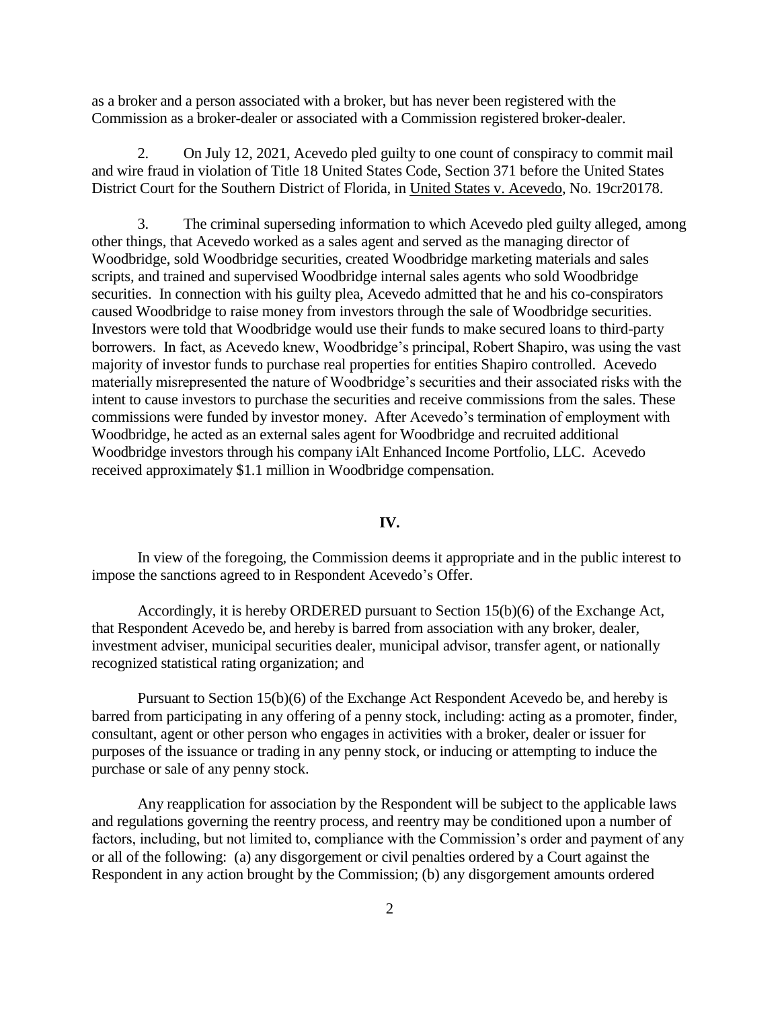as a broker and a person associated with a broker, but has never been registered with the Commission as a broker-dealer or associated with a Commission registered broker-dealer.

2. On July 12, 2021, Acevedo pled guilty to one count of conspiracy to commit mail and wire fraud in violation of Title 18 United States Code, Section 371 before the United States District Court for the Southern District of Florida, in United States v. Acevedo, No. 19cr20178.

3. The criminal superseding information to which Acevedo pled guilty alleged, among other things, that Acevedo worked as a sales agent and served as the managing director of Woodbridge, sold Woodbridge securities, created Woodbridge marketing materials and sales scripts, and trained and supervised Woodbridge internal sales agents who sold Woodbridge securities. In connection with his guilty plea, Acevedo admitted that he and his co-conspirators caused Woodbridge to raise money from investors through the sale of Woodbridge securities. Investors were told that Woodbridge would use their funds to make secured loans to third-party borrowers. In fact, as Acevedo knew, Woodbridge's principal, Robert Shapiro, was using the vast majority of investor funds to purchase real properties for entities Shapiro controlled. Acevedo materially misrepresented the nature of Woodbridge's securities and their associated risks with the intent to cause investors to purchase the securities and receive commissions from the sales. These commissions were funded by investor money. After Acevedo's termination of employment with Woodbridge, he acted as an external sales agent for Woodbridge and recruited additional Woodbridge investors through his company iAlt Enhanced Income Portfolio, LLC. Acevedo received approximately \$1.1 million in Woodbridge compensation.

### **IV.**

In view of the foregoing, the Commission deems it appropriate and in the public interest to impose the sanctions agreed to in Respondent Acevedo's Offer.

Accordingly, it is hereby ORDERED pursuant to Section 15(b)(6) of the Exchange Act, that Respondent Acevedo be, and hereby is barred from association with any broker, dealer, investment adviser, municipal securities dealer, municipal advisor, transfer agent, or nationally recognized statistical rating organization; and

Pursuant to Section 15(b)(6) of the Exchange Act Respondent Acevedo be, and hereby is barred from participating in any offering of a penny stock, including: acting as a promoter, finder, consultant, agent or other person who engages in activities with a broker, dealer or issuer for purposes of the issuance or trading in any penny stock, or inducing or attempting to induce the purchase or sale of any penny stock.

Any reapplication for association by the Respondent will be subject to the applicable laws and regulations governing the reentry process, and reentry may be conditioned upon a number of factors, including, but not limited to, compliance with the Commission's order and payment of any or all of the following: (a) any disgorgement or civil penalties ordered by a Court against the Respondent in any action brought by the Commission; (b) any disgorgement amounts ordered